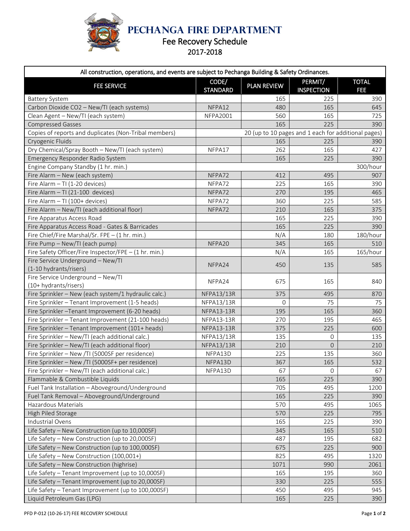

**PECHANGA FIRE DEPARTMENT**

## Fee Recovery Schedule

| All construction, operations, and events are subject to Pechanga Building & Safety Ordinances. |                          |                    |                                                     |                            |  |  |  |
|------------------------------------------------------------------------------------------------|--------------------------|--------------------|-----------------------------------------------------|----------------------------|--|--|--|
| <b>FEE SERVICE</b>                                                                             | CODE/<br><b>STANDARD</b> | <b>PLAN REVIEW</b> | PERMIT/<br><b>INSPECTION</b>                        | <b>TOTAL</b><br><b>FEE</b> |  |  |  |
| <b>Battery System</b>                                                                          |                          | 165                | 225                                                 | 390                        |  |  |  |
| Carbon Dioxide CO2 - New/TI (each systems)                                                     | NFPA12                   | 480                | 165                                                 | 645                        |  |  |  |
| Clean Agent - New/TI (each system)                                                             | <b>NFPA2001</b>          | 560                | 165                                                 | 725                        |  |  |  |
| <b>Compressed Gasses</b>                                                                       |                          | 165                | 225                                                 | 390                        |  |  |  |
| Copies of reports and duplicates (Non-Tribal members)                                          |                          |                    | 20 (up to 10 pages and 1 each for additional pages) |                            |  |  |  |
| Cryogenic Fluids                                                                               |                          | 165                | 225                                                 | 390                        |  |  |  |
| Dry Chemical/Spray Booth - New/TI (each system)                                                | NFPA17                   | 262                | 165                                                 | 427                        |  |  |  |
| Emergency Responder Radio System                                                               |                          | 165                | 225                                                 | 390                        |  |  |  |
| Engine Company Standby (1 hr. min.)                                                            |                          | 300/hour           |                                                     |                            |  |  |  |
| Fire Alarm - New (each system)                                                                 | NFPA72                   | 412                | 495                                                 | 907                        |  |  |  |
| Fire Alarm - TI (1-20 devices)                                                                 | NFPA72                   | 225                | 165                                                 | 390                        |  |  |  |
| Fire Alarm - TI (21-100 devices)                                                               | NFPA72                   | 270                | 195                                                 | 465                        |  |  |  |
| Fire Alarm - TI (100+ devices)                                                                 | NFPA72                   | 360                | 225                                                 | 585                        |  |  |  |
| Fire Alarm - New/TI (each additional floor)                                                    | NFPA72                   | 210                | 165                                                 | 375                        |  |  |  |
| Fire Apparatus Access Road                                                                     |                          | 165                | 225                                                 | 390                        |  |  |  |
| Fire Apparatus Access Road - Gates & Barricades                                                |                          | 165                | 225                                                 | 390                        |  |  |  |
| Fire Chief/Fire Marshal/Sr. FPE - (1 hr. min.)                                                 |                          | N/A                | 180                                                 | 180/hour                   |  |  |  |
| Fire Pump - New/TI (each pump)                                                                 | NFPA20                   | 345                | 165                                                 | 510                        |  |  |  |
| Fire Safety Officer/Fire Inspector/FPE - (1 hr. min.)                                          |                          | N/A                | 165                                                 | 165/hour                   |  |  |  |
| Fire Service Underground - New/TI<br>(1-10 hydrants/risers)                                    | NFPA24                   | 450                | 135                                                 | 585                        |  |  |  |
| Fire Service Underground - New/TI                                                              |                          |                    |                                                     |                            |  |  |  |
| (10+ hydrants/risers)                                                                          | NFPA24                   | 675                | 165                                                 | 840                        |  |  |  |
| Fire Sprinkler - New (each system/1 hydraulic calc.)                                           | <b>NFPA13/13R</b>        | 375                | 495                                                 | 870                        |  |  |  |
| Fire Sprinkler - Tenant Improvement (1-5 heads)                                                | NFPA13/13R               | $\Omega$           | 75                                                  | 75                         |  |  |  |
| Fire Sprinkler - Tenant Improvement (6-20 heads)                                               | <b>NFPA13-13R</b>        | 195                | 165                                                 | 360                        |  |  |  |
| Fire Sprinkler - Tenant Improvement (21-100 heads)                                             | NFPA13-13R               | 270                | 195                                                 | 465                        |  |  |  |
| Fire Sprinkler - Tenant Improvement (101+ heads)                                               | <b>NFPA13-13R</b>        | 375                | 225                                                 | 600                        |  |  |  |
| Fire Sprinkler - New/TI (each additional calc.)                                                | NFPA13/13R               | 135                | 0                                                   | 135                        |  |  |  |
| Fire Sprinkler - New/TI (each additional floor)                                                | <b>NFPA13/13R</b>        | 210                | $\Omega$                                            | 210                        |  |  |  |
| Fire Sprinkler - New /TI (5000SF per residence)                                                | NFPA13D                  | 225                | 135                                                 | 360                        |  |  |  |
| Fire Sprinkler - New /TI (5000SF+ per residence)                                               | NFPA13D                  | 367                | 165                                                 | 532                        |  |  |  |
| Fire Sprinkler - New/TI (each additional calc.)                                                | NFPA13D                  | 67                 | 0                                                   | 67                         |  |  |  |
| Flammable & Combustible Liquids                                                                |                          | 165                | 225                                                 | 390                        |  |  |  |
| Fuel Tank Installation - Aboveground/Underground                                               |                          | 705                | 495                                                 | 1200                       |  |  |  |
| Fuel Tank Removal - Aboveground/Underground                                                    |                          | 165                | 225                                                 | 390                        |  |  |  |
| Hazardous Materials                                                                            |                          | 570                | 495                                                 | 1065                       |  |  |  |
| High Piled Storage                                                                             |                          | 570                | 225                                                 | 795                        |  |  |  |
| Industrial Ovens                                                                               |                          | 165                | 225                                                 | 390                        |  |  |  |
| Life Safety - New Construction (up to 10,000SF)                                                |                          | 345                | 165                                                 | 510                        |  |  |  |
| Life Safety - New Construction (up to 20,000SF)                                                |                          | 487                | 195                                                 | 682                        |  |  |  |
| Life Safety - New Construction (up to 100,000SF)                                               |                          | 675                | 225                                                 | 900                        |  |  |  |
| Life Safety - New Construction (100,001+)                                                      |                          | 825                | 495                                                 | 1320                       |  |  |  |
| Life Safety - New Construction (highrise)                                                      |                          | 1071               | 990                                                 | 2061                       |  |  |  |
| Life Safety - Tenant Improvement (up to 10,000SF)                                              |                          | 165                | 195                                                 | 360                        |  |  |  |
| Life Safety - Tenant Improvement (up to 20,000SF)                                              |                          | 330                | 225                                                 | 555                        |  |  |  |
| Life Safety - Tenant Improvement (up to 100,000SF)                                             |                          | 450                | 495                                                 | 945                        |  |  |  |
| Liquid Petroleum Gas (LPG)                                                                     |                          | 165                | 225                                                 | 390                        |  |  |  |